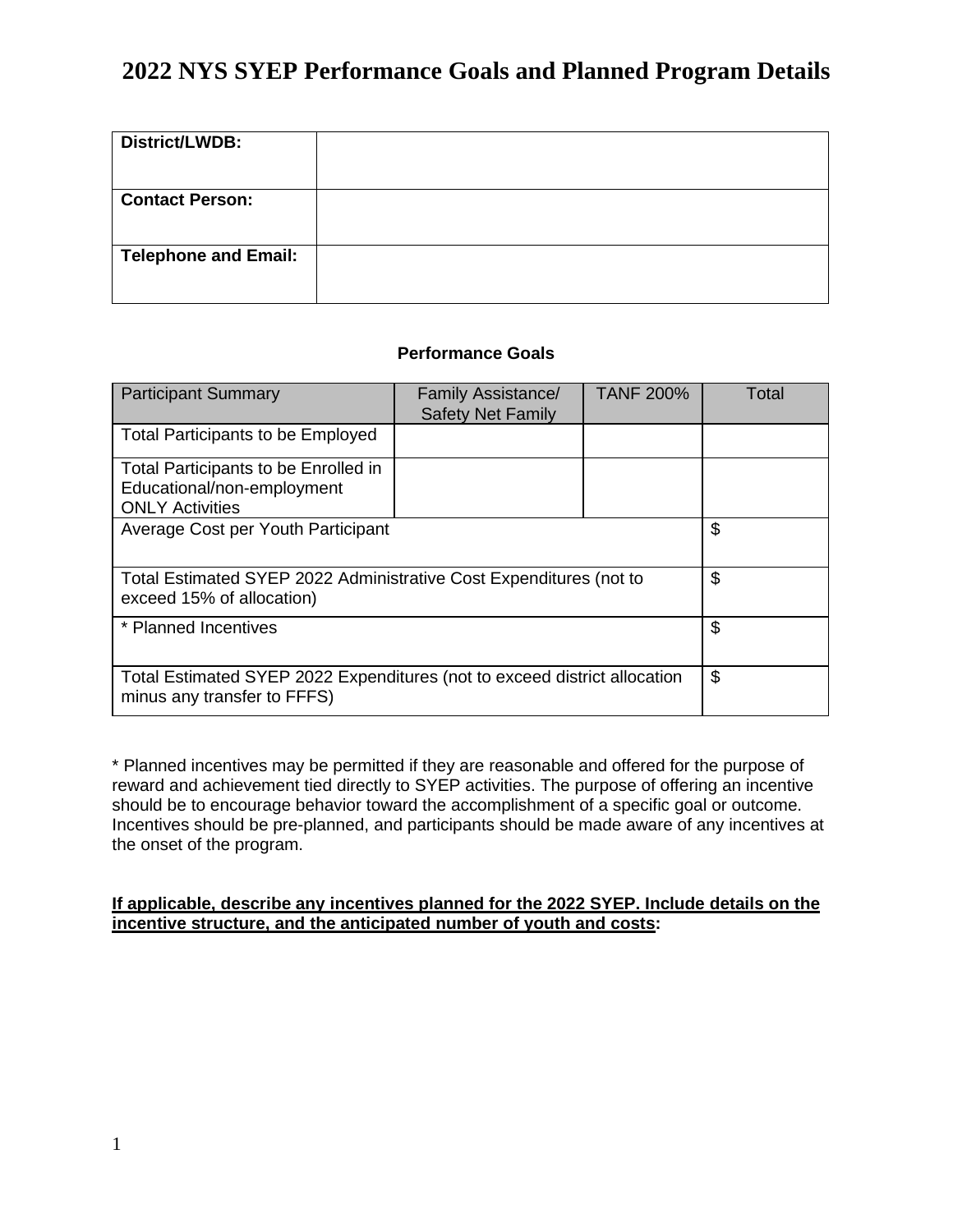| District/LWDB:              |  |
|-----------------------------|--|
|                             |  |
| <b>Contact Person:</b>      |  |
|                             |  |
| <b>Telephone and Email:</b> |  |
|                             |  |
|                             |  |

## **Performance Goals**

| <b>Participant Summary</b>                                                                               | <b>Family Assistance/</b><br><b>Safety Net Family</b> | <b>TANF 200%</b> | Total |
|----------------------------------------------------------------------------------------------------------|-------------------------------------------------------|------------------|-------|
| <b>Total Participants to be Employed</b>                                                                 |                                                       |                  |       |
| Total Participants to be Enrolled in<br>Educational/non-employment<br><b>ONLY Activities</b>             |                                                       |                  |       |
| Average Cost per Youth Participant                                                                       | \$                                                    |                  |       |
| Total Estimated SYEP 2022 Administrative Cost Expenditures (not to<br>exceed 15% of allocation)          | \$                                                    |                  |       |
| * Planned Incentives                                                                                     | \$                                                    |                  |       |
| Total Estimated SYEP 2022 Expenditures (not to exceed district allocation<br>minus any transfer to FFFS) |                                                       |                  | \$    |

\* Planned incentives may be permitted if they are reasonable and offered for the purpose of reward and achievement tied directly to SYEP activities. The purpose of offering an incentive should be to encourage behavior toward the accomplishment of a specific goal or outcome. Incentives should be pre-planned, and participants should be made aware of any incentives at the onset of the program.

### **If applicable, describe any incentives planned for the 2022 SYEP. Include details on the incentive structure, and the anticipated number of youth and costs:**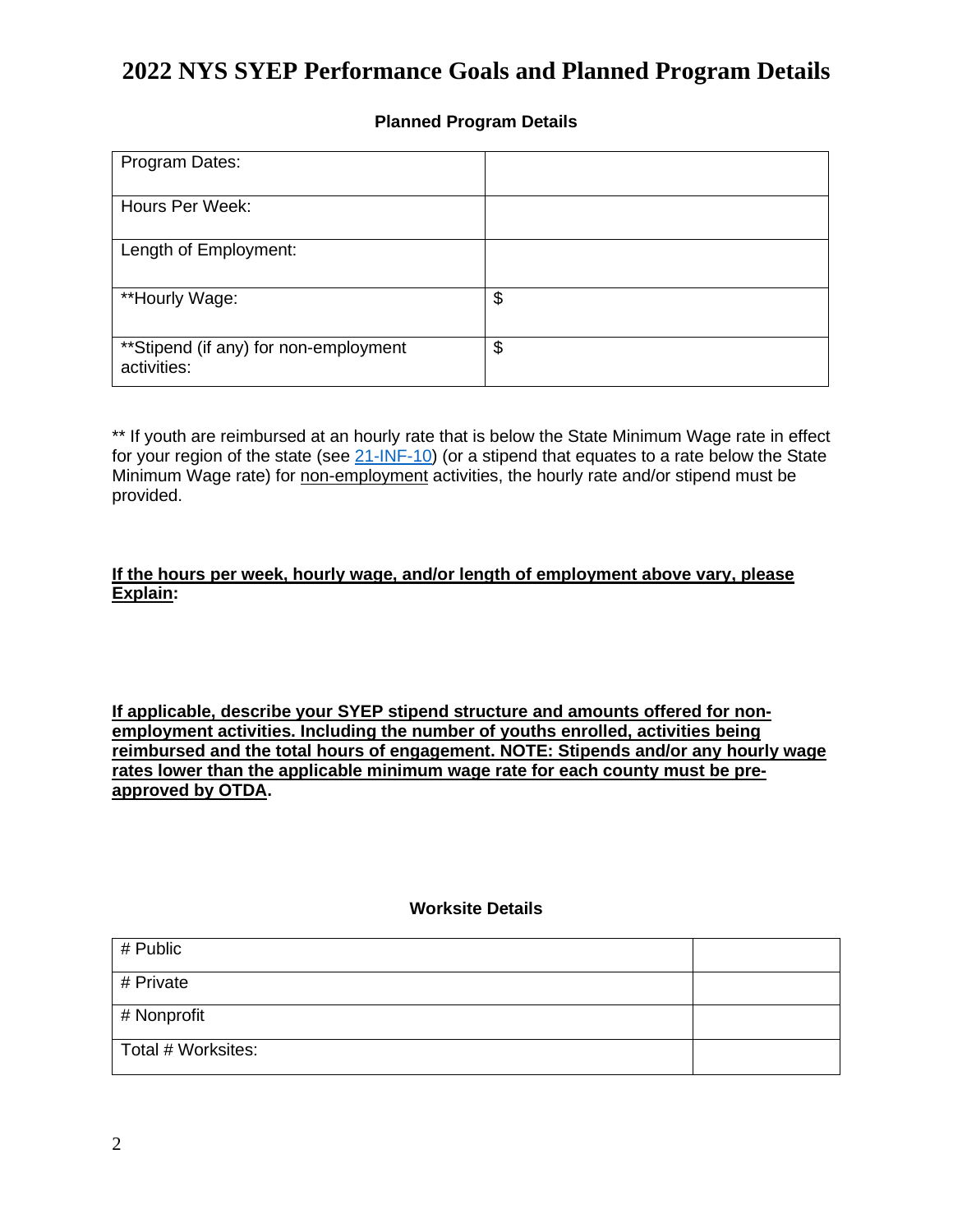### **Planned Program Details**

| Program Dates:                                        |    |
|-------------------------------------------------------|----|
| Hours Per Week:                                       |    |
| Length of Employment:                                 |    |
| **Hourly Wage:                                        | \$ |
| ** Stipend (if any) for non-employment<br>activities: | \$ |

\*\* If youth are reimbursed at an hourly rate that is below the State Minimum Wage rate in effect for your region of the state (see  $21$ -INF-10) (or a stipend that equates to a rate below the State Minimum Wage rate) for non-employment activities, the hourly rate and/or stipend must be provided.

**If the hours per week, hourly wage, and/or length of employment above vary, please Explain:**

**If applicable, describe your SYEP stipend structure and amounts offered for nonemployment activities. Including the number of youths enrolled, activities being reimbursed and the total hours of engagement. NOTE: Stipends and/or any hourly wage rates lower than the applicable minimum wage rate for each county must be preapproved by OTDA.**

#### **Worksite Details**

| $#$ Public         |  |
|--------------------|--|
| # Private          |  |
| # Nonprofit        |  |
| Total # Worksites: |  |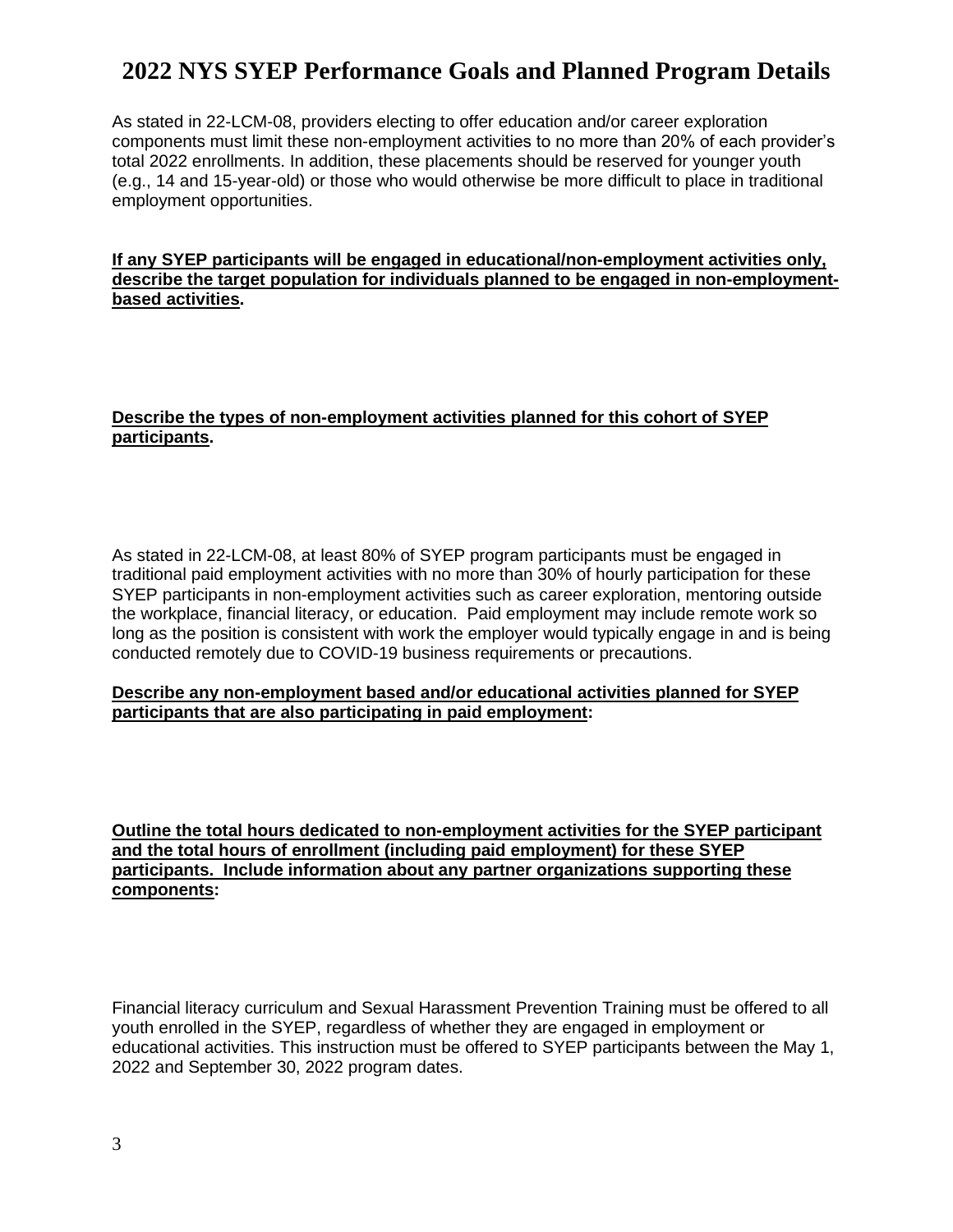As stated in 22-LCM-08, providers electing to offer education and/or career exploration components must limit these non-employment activities to no more than 20% of each provider's total 2022 enrollments. In addition, these placements should be reserved for younger youth (e.g., 14 and 15-year-old) or those who would otherwise be more difficult to place in traditional employment opportunities.

#### **If any SYEP participants will be engaged in educational/non-employment activities only, describe the target population for individuals planned to be engaged in non-employmentbased activities.**

### **Describe the types of non-employment activities planned for this cohort of SYEP participants.**

As stated in 22-LCM-08, at least 80% of SYEP program participants must be engaged in traditional paid employment activities with no more than 30% of hourly participation for these SYEP participants in non-employment activities such as career exploration, mentoring outside the workplace, financial literacy, or education. Paid employment may include remote work so long as the position is consistent with work the employer would typically engage in and is being conducted remotely due to COVID-19 business requirements or precautions.

#### **Describe any non-employment based and/or educational activities planned for SYEP participants that are also participating in paid employment:**

**Outline the total hours dedicated to non-employment activities for the SYEP participant and the total hours of enrollment (including paid employment) for these SYEP participants. Include information about any partner organizations supporting these components:**

Financial literacy curriculum and Sexual Harassment Prevention Training must be offered to all youth enrolled in the SYEP, regardless of whether they are engaged in employment or educational activities. This instruction must be offered to SYEP participants between the May 1, 2022 and September 30, 2022 program dates.